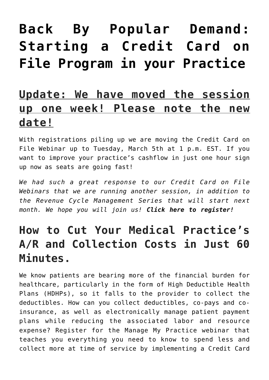# **[Back By Popular Demand:](https://managemypractice.com/back-by-popular-demand-starting-a-credit-card-on-file-program-in-your-practice/) [Starting a Credit Card on](https://managemypractice.com/back-by-popular-demand-starting-a-credit-card-on-file-program-in-your-practice/) [File Program in your Practice](https://managemypractice.com/back-by-popular-demand-starting-a-credit-card-on-file-program-in-your-practice/)**

### **Update: We have moved the session up one week! Please note the new date!**

With registrations piling up we are moving the Credit Card on File Webinar up to Tuesday, March 5th at 1 p.m. EST. If you want to improve your practice's cashflow in just one hour sign up now as seats are going fast!

*We had such a great response to our Credit Card on File Webinars that we are running another session, in addition to the [Revenue Cycle Management Series](https://managemypractice.com/the-complete-guide-to-revenue-cycle-management-a-new-comprehensive-course-from-manage-my-practice/) that will start next month. We hope you will join us! [Click here to register!](https://student.gototraining.com/r/8914465693173095936)*

# **How to Cut Your Medical Practice's A/R and Collection Costs in Just 60 Minutes.**

We know patients are bearing more of the financial burden for healthcare, particularly in the form of High Deductible Health Plans (HDHPs), so it falls to the provider to collect the deductibles. How can you collect deductibles, co-pays and coinsurance, as well as electronically manage patient payment plans while reducing the associated labor and resource expense? Register for the Manage My Practice webinar that teaches you everything you need to know to spend less and collect more at time of service by implementing a Credit Card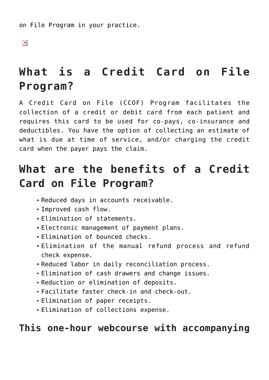on File Program in your practice.

 $\pmb{\times}$ 

# **What is a Credit Card on File Program?**

A Credit Card on File (CCOF) Program facilitates the collection of a credit or debit card from each patient and requires this card to be used for co-pays, co-insurance and deductibles. You have the option of collecting an estimate of what is due at time of service, and/or charging the credit card when the payer pays the claim.

# **What are the benefits of a Credit Card on File Program?**

- Reduced days in accounts receivable.
- Improved cash flow.
- Elimination of statements.
- Electronic management of payment plans.
- Elimination of bounced checks.
- Elimination of the manual refund process and refund check expense.
- Reduced labor in daily reconciliation process.
- Elimination of cash drawers and change issues.
- Reduction or elimination of deposits.
- Facilitate faster check-in and check-out.
- Elimination of paper receipts.
- Elimination of collections expense.

#### **This one-hour webcourse with accompanying**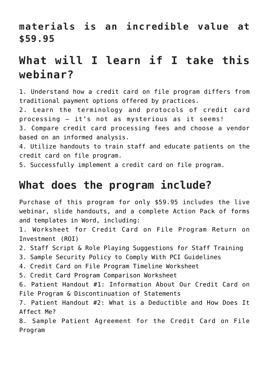#### **materials is an incredible value at \$59.95**

### **What will I learn if I take this webinar?**

1. Understand how a credit card on file program differs from traditional payment options offered by practices.

2. Learn the terminology and protocols of credit card processing – it's not as mysterious as it seems!

3. Compare credit card processing fees and choose a vendor based on an informed analysis.

4. Utilize handouts to train staff and educate patients on the credit card on file program.

5. Successfully implement a credit card on file program.

### **What does the program include?**

Purchase of this program for only \$59.95 includes the live webinar, slide handouts, and a complete Action Pack of forms and templates in Word, including:

1. Worksheet for Credit Card on File Program Return on Investment (ROI)

2. Staff Script & Role Playing Suggestions for Staff Training

3. Sample Security Policy to Comply With PCI Guidelines

4. Credit Card on File Program Timeline Worksheet

5. Credit Card Program Comparison Worksheet

6. Patient Handout #1: Information About Our Credit Card on File Program & Discontinuation of Statements

7. Patient Handout #2: What is a Deductible and How Does It Affect Me?

8. Sample Patient Agreement for the Credit Card on File Program